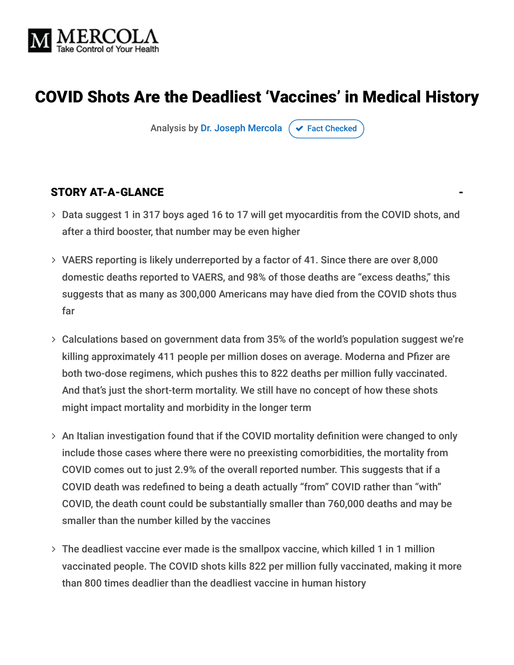

# COVID Shots Are the Deadliest 'Vaccines' in Medical History

Analysis by [Dr. Joseph Mercola](https://www.mercola.com/forms/background.htm)  $\sigma$  [Fact Checked](javascript:void(0))

### STORY AT-A-GLANCE

- Data suggest 1 in 317 boys aged 16 to 17 will get myocarditis from the COVID shots, and after a third booster, that number may be even higher
- VAERS reporting is likely underreported by a factor of 41. Since there are over 8,000 domestic deaths reported to VAERS, and 98% of those deaths are "excess deaths," this suggests that as many as 300,000 Americans may have died from the COVID shots thus far
- Calculations based on government data from 35% of the world's population suggest we're killing approximately 411 people per million doses on average. Moderna and Pfizer are both two-dose regimens, which pushes this to 822 deaths per million fully vaccinated. And that's just the short-term mortality. We still have no concept of how these shots might impact mortality and morbidity in the longer term
- > An Italian investigation found that if the COVID mortality definition were changed to only include those cases where there were no preexisting comorbidities, the mortality from COVID comes out to just 2.9% of the overall reported number. This suggests that if a COVID death was redefined to being a death actually "from" COVID rather than "with" COVID, the death count could be substantially smaller than 760,000 deaths and may be smaller than the number killed by the vaccines
- The deadliest vaccine ever made is the smallpox vaccine, which killed 1 in 1 million vaccinated people. The COVID shots kills 822 per million fully vaccinated, making it more than 800 times deadlier than the deadliest vaccine in human history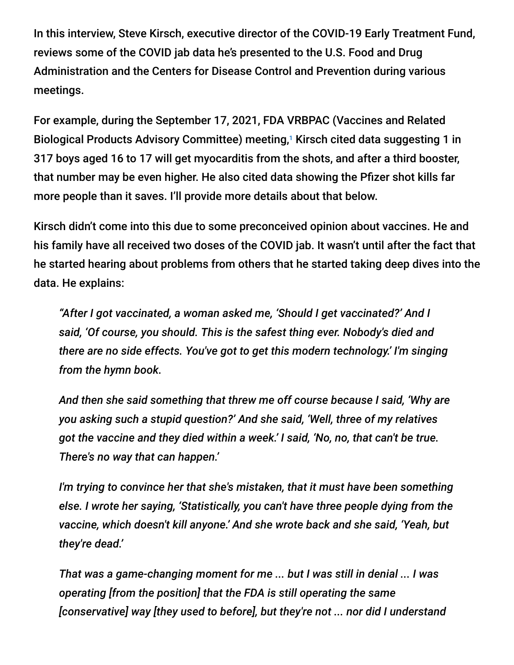In this interview, Steve Kirsch, executive director of the COVID-19 Early Treatment Fund, reviews some of the COVID jab data he's presented to the U.S. Food and Drug Administration and the Centers for Disease Control and Prevention during various meetings.

For example, during the September 17, 2021, FDA VRBPAC (Vaccines and Related Biological Products Advisory Committee) meeting,<sup>1</sup> Kirsch cited data suggesting 1 in 317 boys aged 16 to 17 will get myocarditis from the shots, and after a third booster, that number may be even higher. He also cited data showing the Pfizer shot kills far more people than it saves. I'll provide more details about that below.

Kirsch didn't come into this due to some preconceived opinion about vaccines. He and his family have all received two doses of the COVID jab. It wasn't until after the fact that he started hearing about problems from others that he started taking deep dives into the data. He explains:

*"After I got vaccinated, a woman asked me, 'Should I get vaccinated?' And I said, 'Of course, you should. This is the safest thing ever. Nobody's died and there are no side effects. You've got to get this modern technology.' I'm singing from the hymn book.*

*And then she said something that threw me off course because I said, 'Why are you asking such a stupid question?' And she said, 'Well, three of my relatives got the vaccine and they died within a week.' I said, 'No, no, that can't be true. There's no way that can happen.'*

*I'm trying to convince her that she's mistaken, that it must have been something else. I wrote her saying, 'Statistically, you can't have three people dying from the vaccine, which doesn't kill anyone.' And she wrote back and she said, 'Yeah, but they're dead.'*

*That was a game-changing moment for me ... but I was still in denial ... I was operating [from the position] that the FDA is still operating the same [conservative] way [they used to before], but they're not ... nor did I understand*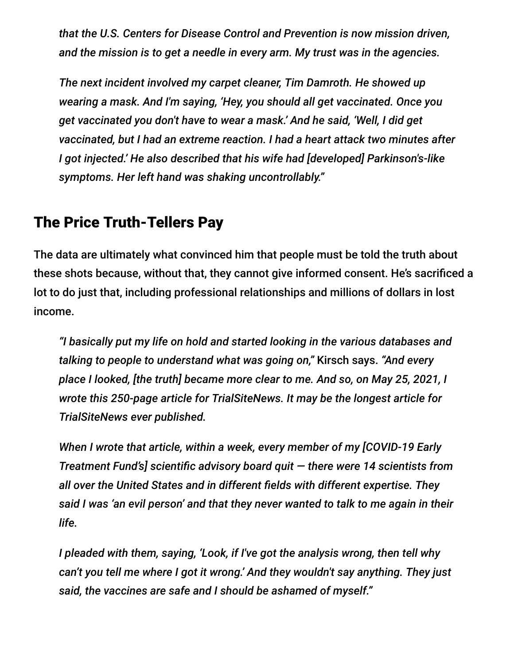*that the U.S. Centers for Disease Control and Prevention is now mission driven, and the mission is to get a needle in every arm. My trust was in the agencies.*

*The next incident involved my carpet cleaner, Tim Damroth. He showed up wearing a mask. And I'm saying, 'Hey, you should all get vaccinated. Once you get vaccinated you don't have to wear a mask.' And he said, 'Well, I did get vaccinated, but I had an extreme reaction. I had a heart attack two minutes after I got injected.' He also described that his wife had [developed] Parkinson's-like symptoms. Her left hand was shaking uncontrollably."*

## The Price Truth-Tellers Pay

The data are ultimately what convinced him that people must be told the truth about these shots because, without that, they cannot give informed consent. He's sacrificed a lot to do just that, including professional relationships and millions of dollars in lost income.

*"I basically put my life on hold and started looking in the various databases and talking to people to understand what was going on,"* Kirsch says. *"And every place I looked, [the truth] became more clear to me. And so, on May 25, 2021, I wrote this 250-page article for TrialSiteNews. It may be the longest article for TrialSiteNews ever published.*

*When I wrote that article, within a week, every member of my [COVID-19 Early Treatment Fund's] scientific advisory board quit — there were 14 scientists from all over the United States and in different fields with different expertise. They said I was 'an evil person' and that they never wanted to talk to me again in their life.*

*I pleaded with them, saying, 'Look, if I've got the analysis wrong, then tell why can't you tell me where I got it wrong.' And they wouldn't say anything. They just said, the vaccines are safe and I should be ashamed of myself."*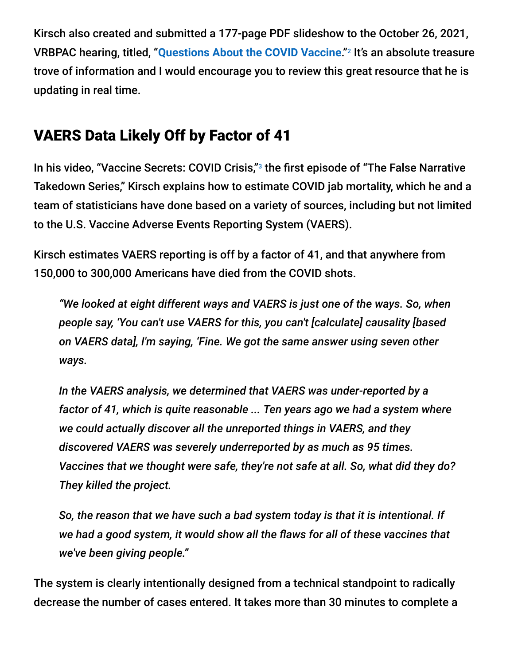Kirsch also created and submitted a 177-page PDF slideshow to the October 26, 2021, VRBPAC hearing, titled, "[Questions About the COVID Vaccine](https://www.skirsch.com/covid/VRBPAC-10-26-21.pdf)."<sup>2</sup> It's an absolute treasure trove of information and I would encourage you to review this great resource that he is updating in real time.

# VAERS Data Likely Off by Factor of 41

In his video, "Vaccine Secrets: COVID Crisis,"<sup>3</sup> the first episode of "The False Narrative Takedown Series," Kirsch explains how to estimate COVID jab mortality, which he and a team of statisticians have done based on a variety of sources, including but not limited to the U.S. Vaccine Adverse Events Reporting System (VAERS).

Kirsch estimates VAERS reporting is off by a factor of 41, and that anywhere from 150,000 to 300,000 Americans have died from the COVID shots.

*"We looked at eight different ways and VAERS is just one of the ways. So, when people say, 'You can't use VAERS for this, you can't [calculate] causality [based on VAERS data], I'm saying, 'Fine. We got the same answer using seven other ways.*

*In the VAERS analysis, we determined that VAERS was under-reported by a factor of 41, which is quite reasonable ... Ten years ago we had a system where we could actually discover all the unreported things in VAERS, and they discovered VAERS was severely underreported by as much as 95 times. Vaccines that we thought were safe, they're not safe at all. So, what did they do? They killed the project.*

*So, the reason that we have such a bad system today is that it is intentional. If we had a good system, it would show all the flaws for all of these vaccines that we've been giving people."*

The system is clearly intentionally designed from a technical standpoint to radically decrease the number of cases entered. It takes more than 30 minutes to complete a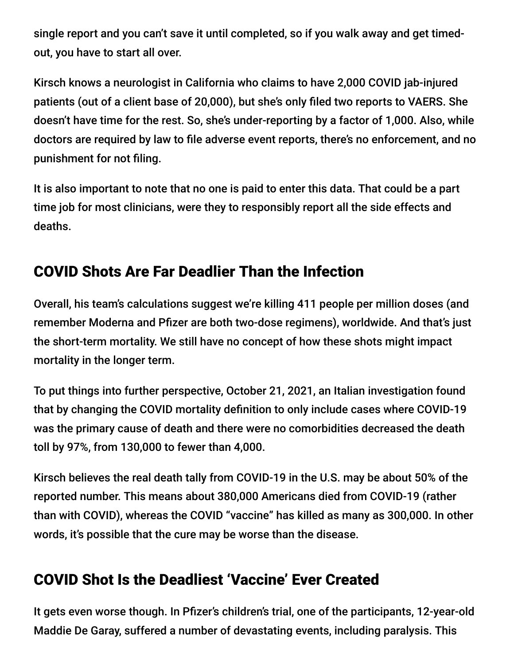single report and you can't save it until completed, so if you walk away and get timedout, you have to start all over.

Kirsch knows a neurologist in California who claims to have 2,000 COVID jab-injured patients (out of a client base of 20,000), but she's only filed two reports to VAERS. She doesn't have time for the rest. So, she's under-reporting by a factor of 1,000. Also, while doctors are required by law to file adverse event reports, there's no enforcement, and no punishment for not filing.

It is also important to note that no one is paid to enter this data. That could be a part time job for most clinicians, were they to responsibly report all the side effects and deaths.

# COVID Shots Are Far Deadlier Than the Infection

Overall, his team's calculations suggest we're killing 411 people per million doses (and remember Moderna and Pfizer are both two-dose regimens), worldwide. And that's just the short-term mortality. We still have no concept of how these shots might impact mortality in the longer term.

To put things into further perspective, October 21, 2021, an Italian investigation found that by changing the COVID mortality definition to only include cases where COVID-19 was the primary cause of death and there were no comorbidities decreased the death toll by 97%, from 130,000 to fewer than 4,000.

Kirsch believes the real death tally from COVID-19 in the U.S. may be about 50% of the reported number. This means about 380,000 Americans died from COVID-19 (rather than with COVID), whereas the COVID "vaccine" has killed as many as 300,000. In other words, it's possible that the cure may be worse than the disease.

# COVID Shot Is the Deadliest 'Vaccine' Ever Created

It gets even worse though. In Pfizer's children's trial, one of the participants, 12-year-old Maddie De Garay, suffered a number of devastating events, including paralysis. This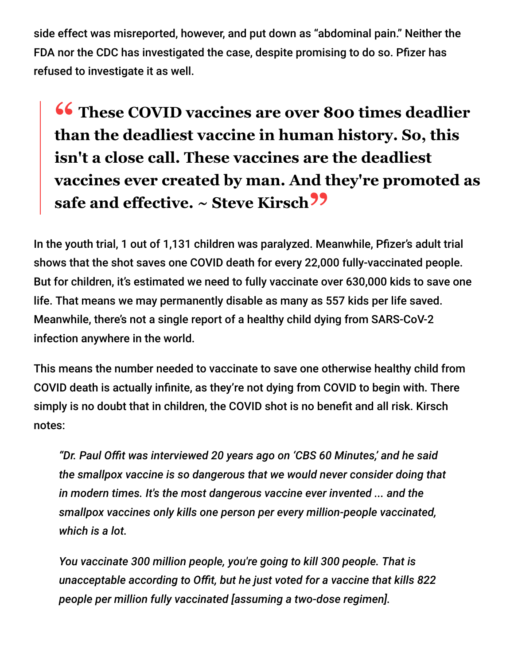side effect was misreported, however, and put down as "abdominal pain." Neither the FDA nor the CDC has investigated the case, despite promising to do so. Pfizer has refused to investigate it as well.

**<sup>66</sup>** These COVID vaccines are over 800 times deadlier<br>than the deadliest vaccine in human history. So, this **than the deadliest vaccine in human history. So, this isn't a close call. These vaccines are the deadliest vaccines ever created by man. And they're promoted as safe and effective. ~ Steve Kirsch"**

In the youth trial, 1 out of 1,131 children was paralyzed. Meanwhile, Pfizer's adult trial shows that the shot saves one COVID death for every 22,000 fully-vaccinated people. But for children, it's estimated we need to fully vaccinate over 630,000 kids to save one life. That means we may permanently disable as many as 557 kids per life saved. Meanwhile, there's not a single report of a healthy child dying from SARS-CoV-2 infection anywhere in the world.

This means the number needed to vaccinate to save one otherwise healthy child from COVID death is actually infinite, as they're not dying from COVID to begin with. There simply is no doubt that in children, the COVID shot is no benefit and all risk. Kirsch notes:

*"Dr. Paul Offit was interviewed 20 years ago on 'CBS 60 Minutes,' and he said the smallpox vaccine is so dangerous that we would never consider doing that in modern times. It's the most dangerous vaccine ever invented ... and the smallpox vaccines only kills one person per every million-people vaccinated, which is a lot.*

*You vaccinate 300 million people, you're going to kill 300 people. That is unacceptable according to Offit, but he just voted for a vaccine that kills 822 people per million fully vaccinated [assuming a two-dose regimen].*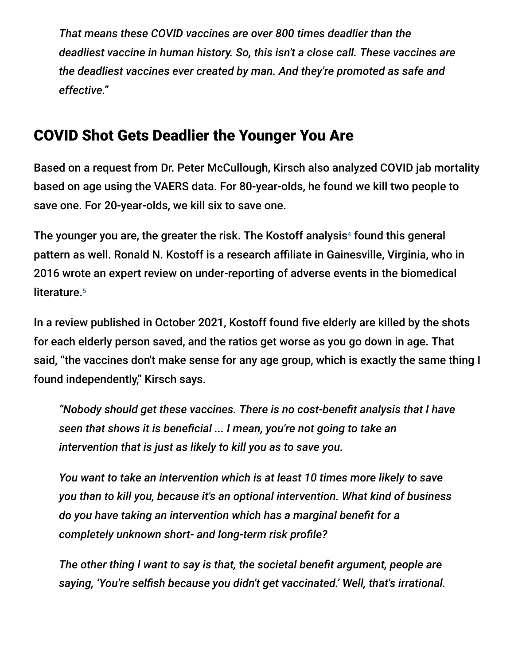*That means these COVID vaccines are over 800 times deadlier than the deadliest vaccine in human history. So, this isn't a close call. These vaccines are the deadliest vaccines ever created by man. And they're promoted as safe and effective."*

## COVID Shot Gets Deadlier the Younger You Are

Based on a request from Dr. Peter McCullough, Kirsch also analyzed COVID jab mortality based on age using the VAERS data. For 80-year-olds, he found we kill two people to save one. For 20-year-olds, we kill six to save one.

The younger you are, the greater the risk. The Kostoff analysis<sup>4</sup> found this general pattern as well. Ronald N. Kostoff is a research affiliate in Gainesville, Virginia, who in 2016 wrote an expert review on under-reporting of adverse events in the biomedical literature. 5

In a review published in October 2021, Kostoff found five elderly are killed by the shots for each elderly person saved, and the ratios get worse as you go down in age. That said, "the vaccines don't make sense for any age group, which is exactly the same thing I found independently," Kirsch says.

*"Nobody should get these vaccines. There is no cost-benefit analysis that I have seen that shows it is beneficial ... I mean, you're not going to take an intervention that is just as likely to kill you as to save you.*

*You want to take an intervention which is at least 10 times more likely to save you than to kill you, because it's an optional intervention. What kind of business do you have taking an intervention which has a marginal benefit for a completely unknown short- and long-term risk profile?*

*The other thing I want to say is that, the societal benefit argument, people are saying, 'You're selfish because you didn't get vaccinated.' Well, that's irrational.*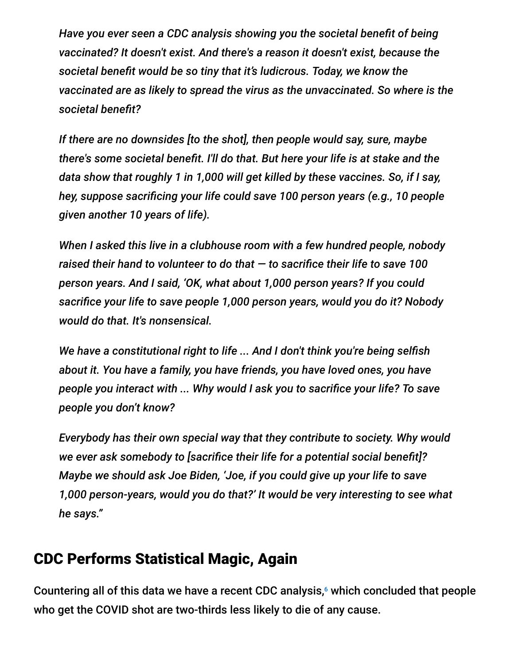*Have you ever seen a CDC analysis showing you the societal benefit of being vaccinated? It doesn't exist. And there's a reason it doesn't exist, because the societal benefit would be so tiny that it's ludicrous. Today, we know the vaccinated are as likely to spread the virus as the unvaccinated. So where is the societal benefit?*

*If there are no downsides [to the shot], then people would say, sure, maybe there's some societal benefit. I'll do that. But here your life is at stake and the data show that roughly 1 in 1,000 will get killed by these vaccines. So, if I say, hey, suppose sacrificing your life could save 100 person years (e.g., 10 people given another 10 years of life).*

*When I asked this live in a clubhouse room with a few hundred people, nobody raised their hand to volunteer to do that — to sacrifice their life to save 100 person years. And I said, 'OK, what about 1,000 person years? If you could sacrifice your life to save people 1,000 person years, would you do it? Nobody would do that. It's nonsensical.*

*We have a constitutional right to life ... And I don't think you're being selfish about it. You have a family, you have friends, you have loved ones, you have people you interact with ... Why would I ask you to sacrifice your life? To save people you don't know?*

*Everybody has their own special way that they contribute to society. Why would we ever ask somebody to [sacrifice their life for a potential social benefit]? Maybe we should ask Joe Biden, 'Joe, if you could give up your life to save 1,000 person-years, would you do that?' It would be very interesting to see what he says."*

## CDC Performs Statistical Magic, Again

Countering all of this data we have a recent CDC analysis,<sup>6</sup> which concluded that people who get the COVID shot are two-thirds less likely to die of any cause.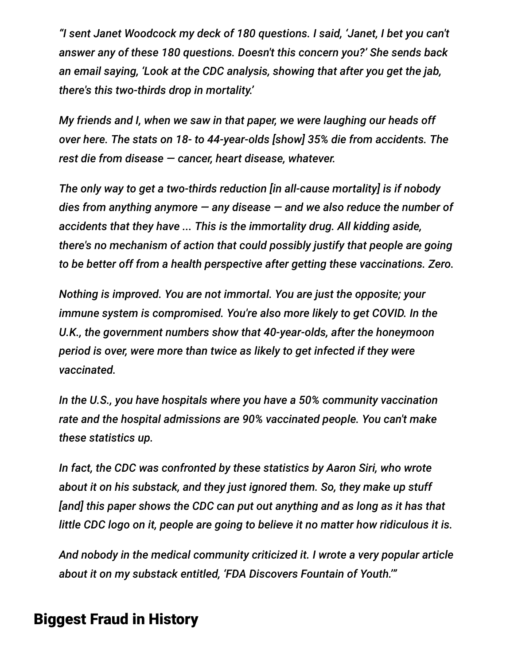*"I sent Janet Woodcock my deck of 180 questions. I said, 'Janet, I bet you can't answer any of these 180 questions. Doesn't this concern you?' She sends back an email saying, 'Look at the CDC analysis, showing that after you get the jab, there's this two-thirds drop in mortality.'*

*My friends and I, when we saw in that paper, we were laughing our heads off over here. The stats on 18- to 44-year-olds [show] 35% die from accidents. The rest die from disease — cancer, heart disease, whatever.*

*The only way to get a two-thirds reduction [in all-cause mortality] is if nobody dies from anything anymore — any disease — and we also reduce the number of accidents that they have ... This is the immortality drug. All kidding aside, there's no mechanism of action that could possibly justify that people are going to be better off from a health perspective after getting these vaccinations. Zero.*

*Nothing is improved. You are not immortal. You are just the opposite; your immune system is compromised. You're also more likely to get COVID. In the U.K., the government numbers show that 40-year-olds, after the honeymoon period is over, were more than twice as likely to get infected if they were vaccinated.*

*In the U.S., you have hospitals where you have a 50% community vaccination rate and the hospital admissions are 90% vaccinated people. You can't make these statistics up.*

*In fact, the CDC was confronted by these statistics by Aaron Siri, who wrote about it on his substack, and they just ignored them. So, they make up stuff [and] this paper shows the CDC can put out anything and as long as it has that little CDC logo on it, people are going to believe it no matter how ridiculous it is.*

*And nobody in the medical community criticized it. I wrote a very popular article about it on my substack entitled, 'FDA Discovers Fountain of Youth.'"*

## Biggest Fraud in History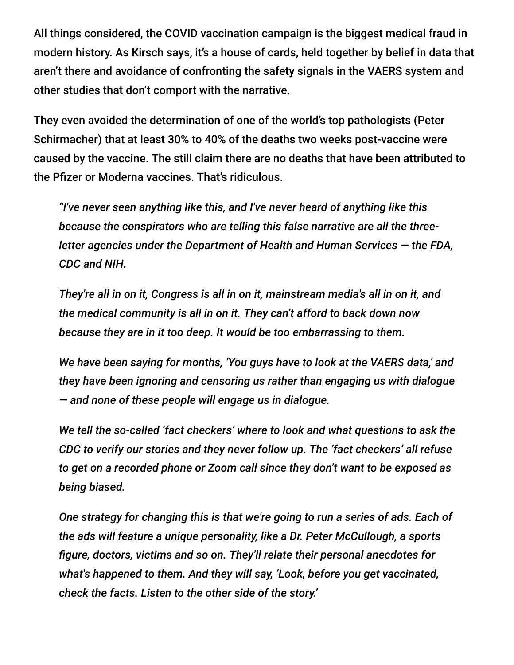All things considered, the COVID vaccination campaign is the biggest medical fraud in modern history. As Kirsch says, it's a house of cards, held together by belief in data that aren't there and avoidance of confronting the safety signals in the VAERS system and other studies that don't comport with the narrative.

They even avoided the determination of one of the world's top pathologists (Peter Schirmacher) that at least 30% to 40% of the deaths two weeks post-vaccine were caused by the vaccine. The still claim there are no deaths that have been attributed to the Pfizer or Moderna vaccines. That's ridiculous.

*"I've never seen anything like this, and I've never heard of anything like this because the conspirators who are telling this false narrative are all the threeletter agencies under the Department of Health and Human Services — the FDA, CDC and NIH.*

*They're all in on it, Congress is all in on it, mainstream media's all in on it, and the medical community is all in on it. They can't afford to back down now because they are in it too deep. It would be too embarrassing to them.*

*We have been saying for months, 'You guys have to look at the VAERS data,' and they have been ignoring and censoring us rather than engaging us with dialogue — and none of these people will engage us in dialogue.*

*We tell the so-called 'fact checkers' where to look and what questions to ask the CDC to verify our stories and they never follow up. The 'fact checkers' all refuse to get on a recorded phone or Zoom call since they don't want to be exposed as being biased.*

*One strategy for changing this is that we're going to run a series of ads. Each of the ads will feature a unique personality, like a Dr. Peter McCullough, a sports figure, doctors, victims and so on. They'll relate their personal anecdotes for what's happened to them. And they will say, 'Look, before you get vaccinated, check the facts. Listen to the other side of the story.'*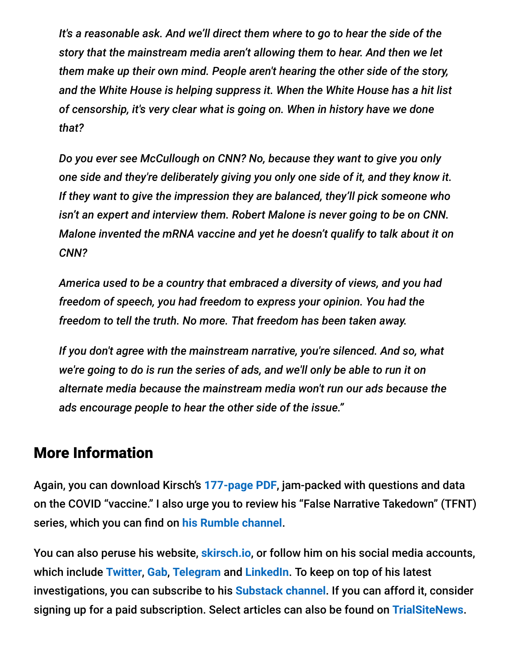*It's a reasonable ask. And we'll direct them where to go to hear the side of the story that the mainstream media aren't allowing them to hear. And then we let them make up their own mind. People aren't hearing the other side of the story, and the White House is helping suppress it. When the White House has a hit list of censorship, it's very clear what is going on. When in history have we done that?*

*Do you ever see McCullough on CNN? No, because they want to give you only one side and they're deliberately giving you only one side of it, and they know it. If they want to give the impression they are balanced, they'll pick someone who isn't an expert and interview them. Robert Malone is never going to be on CNN. Malone invented the mRNA vaccine and yet he doesn't qualify to talk about it on CNN?*

*America used to be a country that embraced a diversity of views, and you had freedom of speech, you had freedom to express your opinion. You had the freedom to tell the truth. No more. That freedom has been taken away.*

*If you don't agree with the mainstream narrative, you're silenced. And so, what we're going to do is run the series of ads, and we'll only be able to run it on alternate media because the mainstream media won't run our ads because the ads encourage people to hear the other side of the issue."*

## More Information

Again, you can download Kirsch's **[177-page PDF](https://www.skirsch.com/covid/VRBPAC-10-26-21.pdf)**, jam-packed with questions and data on the COVID "vaccine." I also urge you to review his "False Narrative Takedown" (TFNT) series, which you can find on **[his Rumble channel](https://rumble.com/user/stkirsch)**.

You can also peruse his website, **[skirsch.io](https://www.skirsch.io/)**, or follow him on his social media accounts, which include **[Twitter](https://twitter.com/stkirsch)**, **[Gab](https://gab.com/stkirsch)**, **[Telegram](https://t.me/stkirsch)** and **[LinkedIn](https://www.linkedin.com/in/stevekirsch)**. To keep on top of his latest investigations, you can subscribe to his **[Substack channel](https://stevekirsch.substack.com/)**. If you can afford it, consider signing up for a paid subscription. Select articles can also be found on **[TrialSiteNews](https://trialsitenews.com/author/skirsch/)**.